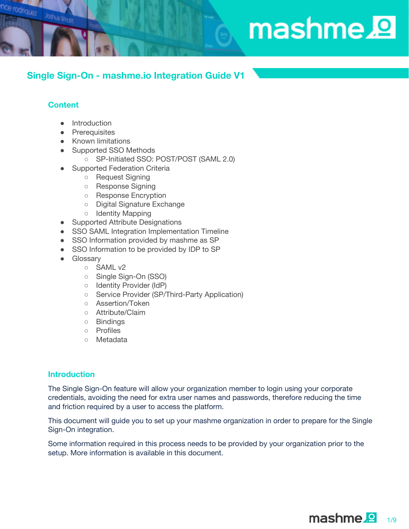# mashme.<sup>1</sup>

# **Single Sign-On - mashme.io Integration Guide V1**

# **Content**

Joshua Wright

odriquez

- Introduction
- Prerequisites
- Known limitations
- Supported SSO Methods
	- SP-Initiated SSO: POST/POST (SAML 2.0)
- Supported Federation Criteria
	- Request Signing
	- Response Signing
	- Response Encryption
	- Digital Signature Exchange
	- Identity Mapping
- Supported Attribute Designations
- SSO SAML Integration Implementation Timeline
- SSO Information provided by mashme as SP
- SSO Information to be provided by IDP to SP
- Glossary
	- SAML v2
	- Single Sign-On (SSO)
	- Identity Provider (IdP)
	- Service Provider (SP/Third-Party Application)
	- Assertion/Token
	- Attribute/Claim
	- Bindings
	- Profiles
	- Metadata

# **Introduction**

The Single Sign-On feature will allow your organization member to login using your corporate credentials, avoiding the need for extra user names and passwords, therefore reducing the time and friction required by a user to access the platform.

This document will guide you to set up your mashme organization in order to prepare for the Single Sign-On integration.

Some information required in this process needs to be provided by your organization prior to the setup. More information is available in this document.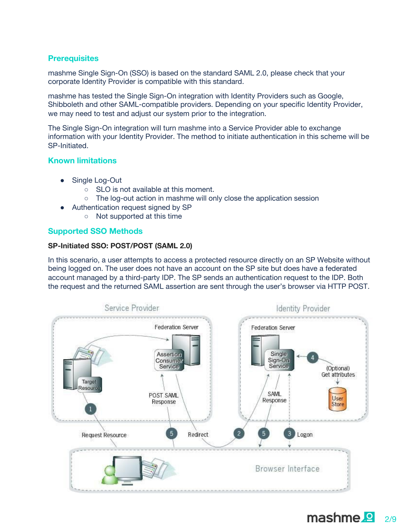# **Prerequisites**

mashme Single Sign-On (SSO) is based on the standard SAML 2.0, please check that your corporate Identity Provider is compatible with this standard.

mashme has tested the Single Sign-On integration with Identity Providers such as Google, Shibboleth and other SAML-compatible providers. Depending on your specific Identity Provider, we may need to test and adjust our system prior to the integration.

The Single Sign-On integration will turn mashme into a Service Provider able to exchange information with your Identity Provider. The method to initiate authentication in this scheme will be SP-Initiated.

# **Known limitations**

- Single Log-Out
	- SLO is not available at this moment.
	- The log-out action in mashme will only close the application session
- Authentication request signed by SP
	- Not supported at this time

# **Supported SSO Methods**

# **SP-Initiated SSO: POST/POST (SAML 2.0)**

In this scenario, a user attempts to access a protected resource directly on an SP Website without being logged on. The user does not have an account on the SP site but does have a federated account managed by a third-party IDP. The SP sends an authentication request to the IDP. Both the request and the returned SAML assertion are sent through the user's browser via HTTP POST.

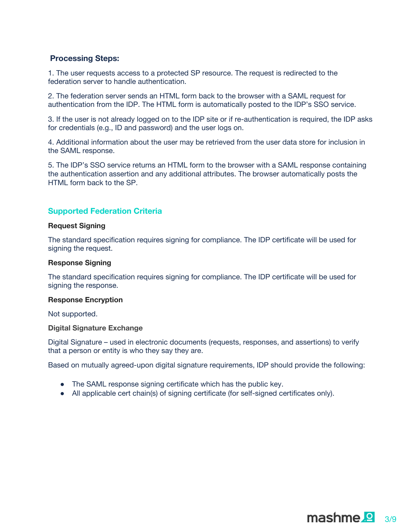# **Processing Steps:**

1. The user requests access to a protected SP resource. The request is redirected to the federation server to handle authentication.

2. The federation server sends an HTML form back to the browser with a SAML request for authentication from the IDP. The HTML form is automatically posted to the IDP's SSO service.

3. If the user is not already logged on to the IDP site or if re-authentication is required, the IDP asks for credentials (e.g., ID and password) and the user logs on.

4. Additional information about the user may be retrieved from the user data store for inclusion in the SAML response.

5. The IDP's SSO service returns an HTML form to the browser with a SAML response containing the authentication assertion and any additional attributes. The browser automatically posts the HTML form back to the SP.

# **Supported Federation Criteria**

#### **Request Signing**

The standard specification requires signing for compliance. The IDP certificate will be used for signing the request.

#### **Response Signing**

The standard specification requires signing for compliance. The IDP certificate will be used for signing the response.

#### **Response Encryption**

Not supported.

**Digital Signature Exchange**

Digital Signature – used in electronic documents (requests, responses, and assertions) to verify that a person or entity is who they say they are.

Based on mutually agreed-upon digital signature requirements, IDP should provide the following:

- The SAML response signing certificate which has the public key.
- All applicable cert chain(s) of signing certificate (for self-signed certificates only).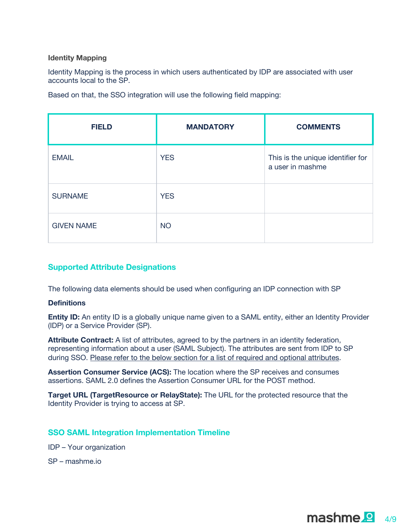## **Identity Mapping**

Identity Mapping is the process in which users authenticated by IDP are associated with user accounts local to the SP.

Based on that, the SSO integration will use the following field mapping:

| <b>FIELD</b>      | <b>MANDATORY</b> | <b>COMMENTS</b>                                       |
|-------------------|------------------|-------------------------------------------------------|
| <b>EMAIL</b>      | <b>YES</b>       | This is the unique identifier for<br>a user in mashme |
| <b>SURNAME</b>    | <b>YES</b>       |                                                       |
| <b>GIVEN NAME</b> | <b>NO</b>        |                                                       |

# **Supported Attribute Designations**

The following data elements should be used when configuring an IDP connection with SP

#### **Definitions**

**Entity ID:** An entity ID is a globally unique name given to a SAML entity, either an Identity Provider (IDP) or a Service Provider (SP).

**Attribute Contract:** A list of attributes, agreed to by the partners in an identity federation, representing information about a user (SAML Subject). The attributes are sent from IDP to SP during SSO. Please refer to the below section for a list of required and optional attributes.

**Assertion Consumer Service (ACS):** The location where the SP receives and consumes assertions. SAML 2.0 defines the Assertion Consumer URL for the POST method.

**Target URL (TargetResource or RelayState):** The URL for the protected resource that the Identity Provider is trying to access at SP.

# **SSO SAML Integration Implementation Timeline**

- IDP Your organization
- SP mashme.io

 $$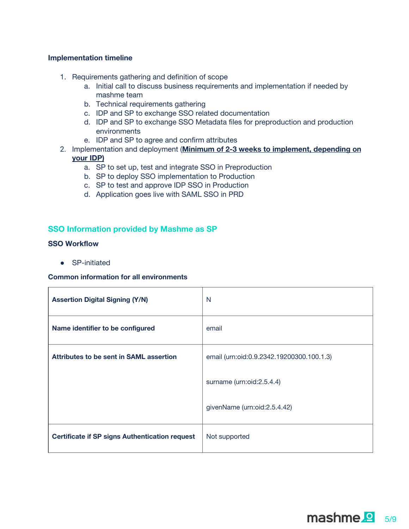#### **Implementation timeline**

- 1. Requirements gathering and definition of scope
	- a. Initial call to discuss business requirements and implementation if needed by mashme team
	- b. Technical requirements gathering
	- c. IDP and SP to exchange SSO related documentation
	- d. IDP and SP to exchange SSO Metadata files for preproduction and production environments
	- e. IDP and SP to agree and confirm attributes
- 2. Implementation and deployment (**Minimum of 2-3 weeks to implement, depending on your IDP)**
	- a. SP to set up, test and integrate SSO in Preproduction
	- b. SP to deploy SSO implementation to Production
	- c. SP to test and approve IDP SSO in Production
	- d. Application goes live with SAML SSO in PRD

## **SSO Information provided by Mashme as SP**

## **SSO Workflow**

● SP-initiated

#### **Common information for all environments**

| <b>Assertion Digital Signing (Y/N)</b>                | N                                         |
|-------------------------------------------------------|-------------------------------------------|
| Name identifier to be configured                      | email                                     |
| Attributes to be sent in SAML assertion               | email (urn:oid:0.9.2342.19200300.100.1.3) |
|                                                       | surname (urn:oid:2.5.4.4)                 |
|                                                       | givenName (urn:oid:2.5.4.42)              |
| <b>Certificate if SP signs Authentication request</b> | Not supported                             |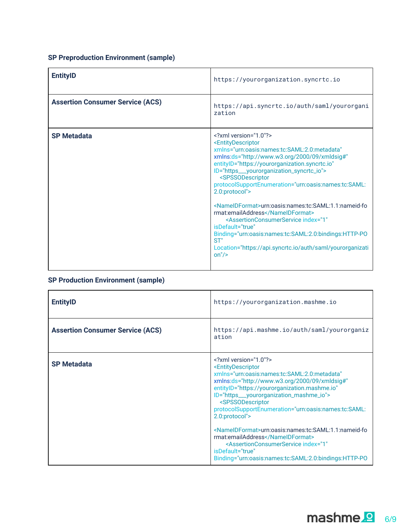# **SP Preproduction Environment (sample)**

| <b>EntityID</b>                         | https://yourorganization.syncrtc.io                                                                                                                                                                                                                                                                                                                                                                                                                                                                                                                                                                                                                                                                                                         |
|-----------------------------------------|---------------------------------------------------------------------------------------------------------------------------------------------------------------------------------------------------------------------------------------------------------------------------------------------------------------------------------------------------------------------------------------------------------------------------------------------------------------------------------------------------------------------------------------------------------------------------------------------------------------------------------------------------------------------------------------------------------------------------------------------|
| <b>Assertion Consumer Service (ACS)</b> | https://api.syncrtc.io/auth/saml/yourorgani<br>zation                                                                                                                                                                                                                                                                                                                                                                                                                                                                                                                                                                                                                                                                                       |
| <b>SP Metadata</b>                      | $\leq$ ?xml version="1.0"?><br><entitydescriptor<br>xmlns="urn:oasis:names:tc:SAML:2.0:metadata"<br/>xmlns:ds="http://www.w3.org/2000/09/xmldsig#"<br/>entitylD="https://yourorganization.syncrtc.io"<br/>ID="https___yourorganization_syncrtc_io"&gt;<br/><spssodescriptor<br>protocolSupportEnumeration="urn:oasis:names:tc:SAML:<br/>2.0:protocol"&gt;<br/><nameidformat>urn:oasis:names:tc:SAML:1.1:nameid-fo<br/>rmat:emailAddress</nameidformat><br/><assertionconsumerservice <br="" index="1">isDefault="true"<br/>Binding="urn:oasis:names:tc:SAML:2.0:bindings:HTTP-PO<br/>ST''<br/>Location="https://api.syncrtc.io/auth/saml/yourorganizati<br/>on''/&gt;</assertionconsumerservice></spssodescriptor<br></entitydescriptor<br> |

# **SP Production Environment (sample)**

| <b>EntityID</b>                         | https://yourorganization.mashme.io                                                                                                                                                                                                                                                                                                                                                                                                                                        |
|-----------------------------------------|---------------------------------------------------------------------------------------------------------------------------------------------------------------------------------------------------------------------------------------------------------------------------------------------------------------------------------------------------------------------------------------------------------------------------------------------------------------------------|
| <b>Assertion Consumer Service (ACS)</b> | https://api.mashme.io/auth/saml/yourorganiz<br>ation                                                                                                                                                                                                                                                                                                                                                                                                                      |
| <b>SP Metadata</b>                      | $\leq$ ?xml version="1.0"?><br><entitydescriptor<br>xmlns="urn:oasis:names:tc:SAML:2.0:metadata"<br/>xmlns:ds="http://www.w3.org/2000/09/xmldsig#"<br/>entityID="https://yourorganization.mashme.io"<br/>ID="https___yourorganization_mashme_io"&gt;<br/><spssodescriptor<br>protocolSupportEnumeration="urn:oasis:names:tc:SAML:<br/>2.0:protocol"&gt;<br/><nameidformat>urn:oasis:names:tc:SAML:1.1:nameid-fo</nameidformat></spssodescriptor<br></entitydescriptor<br> |
|                                         | rmat:emailAddress<br><assertionconsumerservice <br="" index="1">isDefault="true"<br/>Binding="urn:oasis:names:tc:SAML:2.0:bindings:HTTP-PO</assertionconsumerservice>                                                                                                                                                                                                                                                                                                     |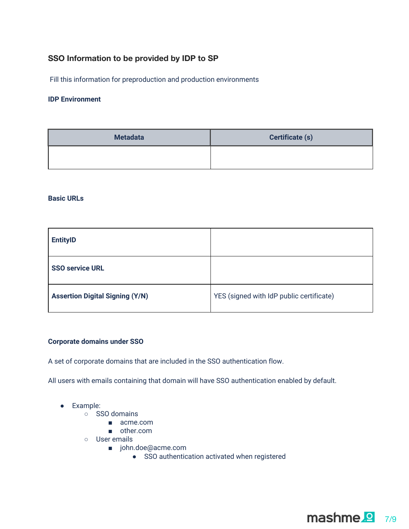# **SSO Information to be provided by IDP to SP**

Fill this information for preproduction and production environments

## **IDP Environment**

| <b>Metadata</b> | <b>Certificate (s)</b> |
|-----------------|------------------------|
|                 |                        |

#### **Basic URLs**

| <b>EntityID</b>                        |                                          |
|----------------------------------------|------------------------------------------|
| <b>SSO service URL</b>                 |                                          |
| <b>Assertion Digital Signing (Y/N)</b> | YES (signed with IdP public certificate) |

## **Corporate domains under SSO**

A set of corporate domains that are included in the SSO authentication flow.

All users with emails containing that domain will have SSO authentication enabled by default.

- Example:
	- SSO domains
		- acme.com
		- other.com
	- User emails
		- john.doe@acme.com
			- SSO authentication activated when registered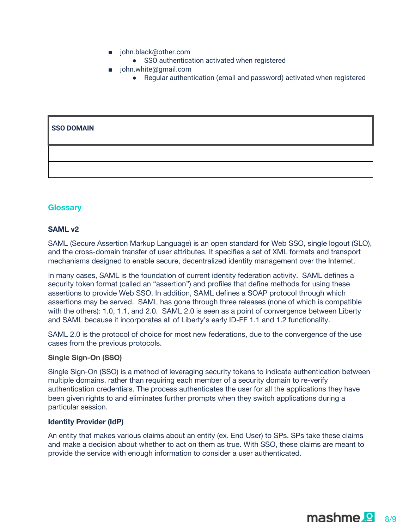- john.black@other.com
	- SSO authentication activated when registered
- john.white@gmail.com
	- Regular authentication (email and password) activated when registered

# **SSO DOMAIN**

#### **Glossary**

#### **SAML v2**

SAML (Secure Assertion Markup Language) is an open standard for Web SSO, single logout (SLO), and the cross-domain transfer of user attributes. It specifies a set of XML formats and transport mechanisms designed to enable secure, decentralized identity management over the Internet.

In many cases, SAML is the foundation of current identity federation activity. SAML defines a security token format (called an "assertion") and profiles that define methods for using these assertions to provide Web SSO. In addition, SAML defines a SOAP protocol through which assertions may be served. SAML has gone through three releases (none of which is compatible with the others): 1.0, 1.1, and 2.0. SAML 2.0 is seen as a point of convergence between Liberty and SAML because it incorporates all of Liberty's early ID-FF 1.1 and 1.2 functionality.

SAML 2.0 is the protocol of choice for most new federations, due to the convergence of the use cases from the previous protocols.

#### **Single Sign-On (SSO)**

Single Sign-On (SSO) is a method of leveraging security tokens to indicate authentication between multiple domains, rather than requiring each member of a security domain to re-verify authentication credentials. The process authenticates the user for all the applications they have been given rights to and eliminates further prompts when they switch applications during a particular session.

#### **Identity Provider (IdP)**

An entity that makes various claims about an entity (ex. End User) to SPs. SPs take these claims and make a decision about whether to act on them as true. With SSO, these claims are meant to provide the service with enough information to consider a user authenticated.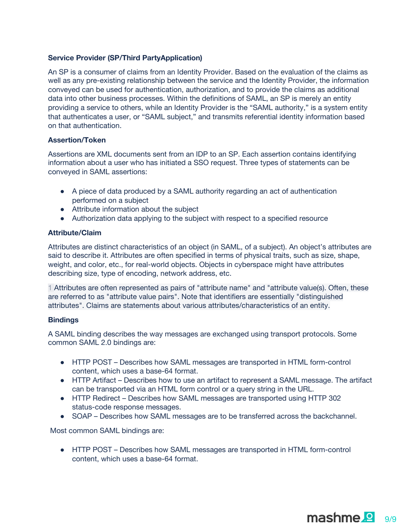## **Service Provider (SP/Third PartyApplication)**

An SP is a consumer of claims from an Identity Provider. Based on the evaluation of the claims as well as any pre-existing relationship between the service and the Identity Provider, the information conveyed can be used for authentication, authorization, and to provide the claims as additional data into other business processes. Within the definitions of SAML, an SP is merely an entity providing a service to others, while an Identity Provider is the "SAML authority," is a system entity that authenticates a user, or "SAML subject," and transmits referential identity information based on that authentication.

#### **Assertion/Token**

Assertions are XML documents sent from an IDP to an SP. Each assertion contains identifying information about a user who has initiated a SSO request. Three types of statements can be conveyed in SAML assertions:

- A piece of data produced by a SAML authority regarding an act of authentication performed on a subject
- Attribute information about the subject
- Authorization data applying to the subject with respect to a specified resource

#### **Attribute/Claim**

Attributes are distinct characteristics of an object (in SAML, of a subject). An object's attributes are said to describe it. Attributes are often specified in terms of physical traits, such as size, shape, weight, and color, etc., for real-world objects. Objects in cyberspace might have attributes describing size, type of encoding, network address, etc.

1 Attributes are often represented as pairs of "attribute name" and "attribute value(s). Often, these are referred to as "attribute value pairs". Note that identifiers are essentially "distinguished attributes". Claims are statements about various attributes/characteristics of an entity.

#### **Bindings**

A SAML binding describes the way messages are exchanged using transport protocols. Some common SAML 2.0 bindings are:

- HTTP POST Describes how SAML messages are transported in HTML form-control content, which uses a base-64 format.
- HTTP Artifact Describes how to use an artifact to represent a SAML message. The artifact can be transported via an HTML form control or a query string in the URL.
- HTTP Redirect Describes how SAML messages are transported using HTTP 302 status-code response messages.
- SOAP Describes how SAML messages are to be transferred across the backchannel.

Most common SAML bindings are:

● HTTP POST – Describes how SAML messages are transported in HTML form-control content, which uses a base-64 format.

mashme.<sup>9</sup>